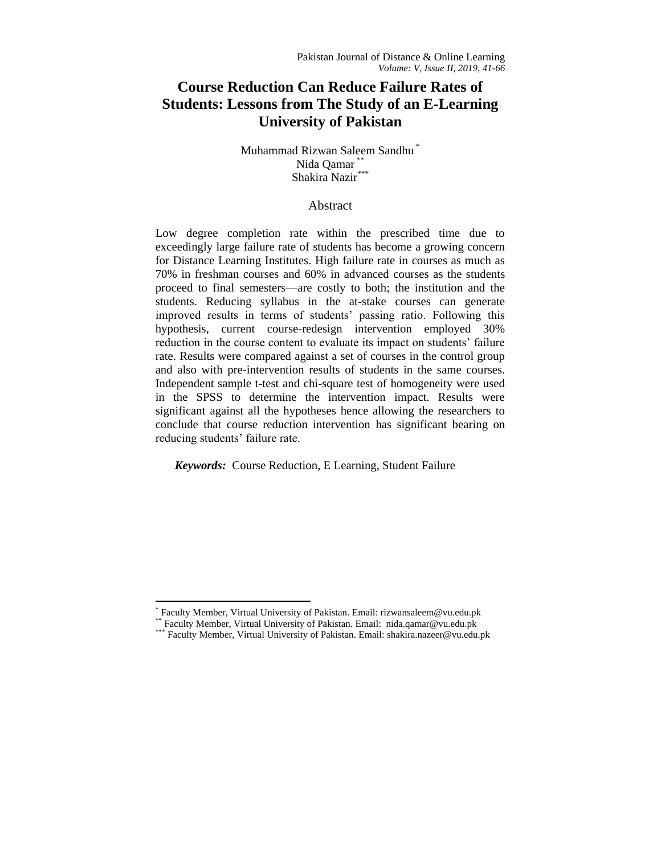# **Course Reduction Can Reduce Failure Rates of Students: Lessons from The Study of an E-Learning University of Pakistan**

## Muhammad Rizwan Saleem Sandhu \* Nida Qamar \*\* Shakira Nazir\*

## Abstract

Low degree completion rate within the prescribed time due to exceedingly large failure rate of students has become a growing concern for Distance Learning Institutes. High failure rate in courses as much as 70% in freshman courses and 60% in advanced courses as the students proceed to final semesters—are costly to both; the institution and the students. Reducing syllabus in the at-stake courses can generate improved results in terms of students' passing ratio. Following this hypothesis, current course-redesign intervention employed 30% reduction in the course content to evaluate its impact on students' failure rate. Results were compared against a set of courses in the control group and also with pre-intervention results of students in the same courses. Independent sample t-test and chi-square test of homogeneity were used in the SPSS to determine the intervention impact. Results were significant against all the hypotheses hence allowing the researchers to conclude that course reduction intervention has significant bearing on reducing students' failure rate.

*Keywords:* Course Reduction, E Learning, Student Failure

 $\overline{\phantom{a}}$ 

<sup>\*</sup> Faculty Member, Virtual University of Pakistan. Email[: rizwansaleem@vu.edu.pk](mailto:rizwansaleem@vu.edu.pk)

<sup>\*\*</sup> Faculty Member, Virtual University of Pakistan. Email: [nida.qamar@vu.edu.pk](mailto:nida.qamar@vu.edu.pk)

<sup>\*\*\*</sup> Faculty Member, Virtual University of Pakistan. Email: shakira.nazeer@vu.edu.pk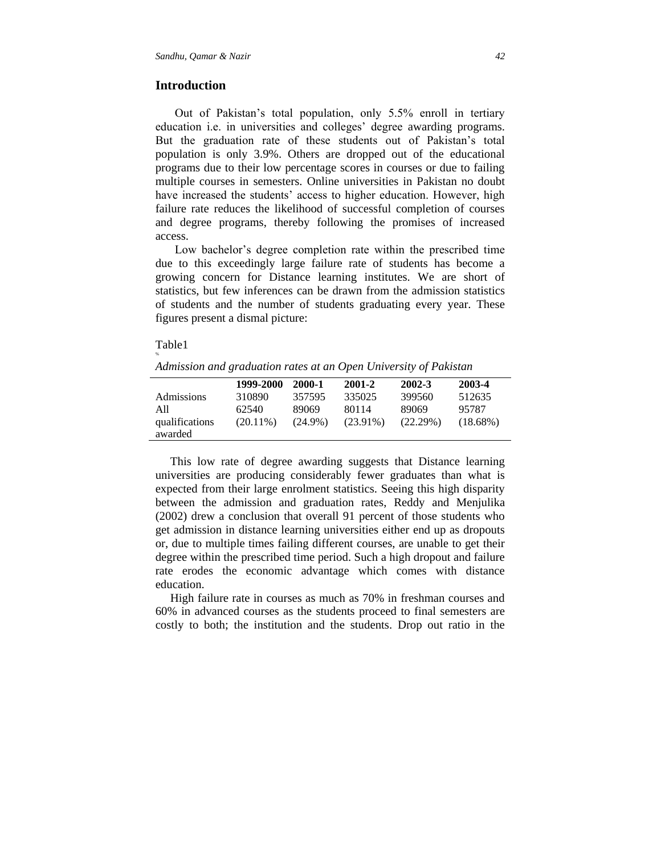## **Introduction**

Out of Pakistan's total population, only 5.5% enroll in tertiary education i.e. in universities and colleges' degree awarding programs. But the graduation rate of these students out of Pakistan's total population is only 3.9%. Others are dropped out of the educational programs due to their low percentage scores in courses or due to failing multiple courses in semesters. Online universities in Pakistan no doubt have increased the students' access to higher education. However, high failure rate reduces the likelihood of successful completion of courses and degree programs, thereby following the promises of increased access.

Low bachelor's degree completion rate within the prescribed time due to this exceedingly large failure rate of students has become a growing concern for Distance learning institutes. We are short of statistics, but few inferences can be drawn from the admission statistics of students and the number of students graduating every year. These figures present a dismal picture:

#### Table1

%

*Admission and graduation rates at an Open University of Pakistan*

|                   | 1999-2000   | 2000-1     | 2001-2      | 2002-3      | 2003-4      |  |
|-------------------|-------------|------------|-------------|-------------|-------------|--|
| <b>Admissions</b> | 310890      | 357595     | 335025      | 399560      | 512635      |  |
| All               | 62540       | 89069      | 80114       | 89069       | 95787       |  |
| qualifications    | $(20.11\%)$ | $(24.9\%)$ | $(23.91\%)$ | $(22.29\%)$ | $(18.68\%)$ |  |
| awarded           |             |            |             |             |             |  |

 This low rate of degree awarding suggests that Distance learning universities are producing considerably fewer graduates than what is expected from their large enrolment statistics. Seeing this high disparity between the admission and graduation rates, Reddy and Menjulika (2002) drew a conclusion that overall 91 percent of those students who get admission in distance learning universities either end up as dropouts or, due to multiple times failing different courses, are unable to get their degree within the prescribed time period. Such a high dropout and failure rate erodes the economic advantage which comes with distance education.

 High failure rate in courses as much as 70% in freshman courses and 60% in advanced courses as the students proceed to final semesters are costly to both; the institution and the students. Drop out ratio in the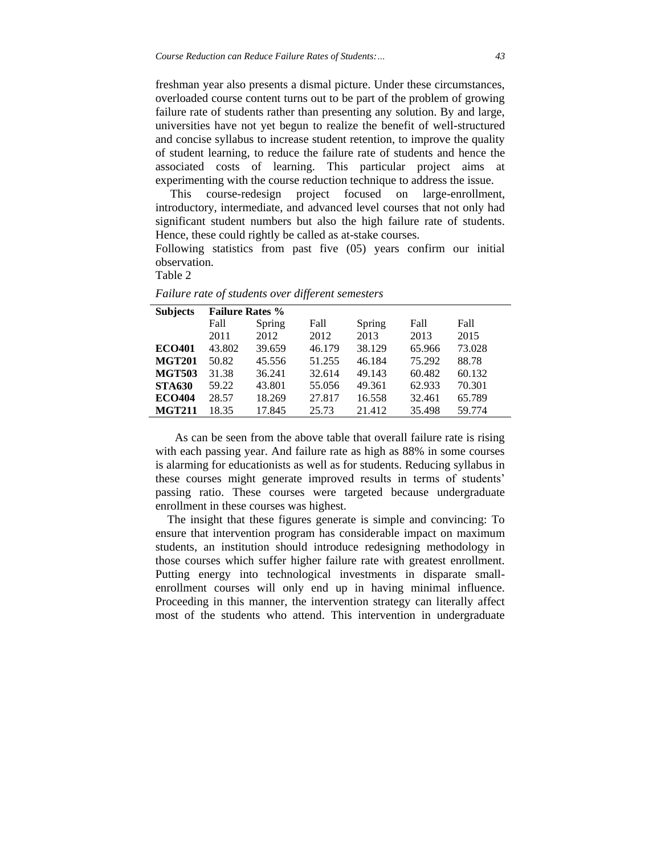freshman year also presents a dismal picture. Under these circumstances, overloaded course content turns out to be part of the problem of growing failure rate of students rather than presenting any solution. By and large, universities have not yet begun to realize the benefit of well-structured and concise syllabus to increase student retention, to improve the quality of student learning, to reduce the failure rate of students and hence the associated costs of learning. This particular project aims at experimenting with the course reduction technique to address the issue.

 This course-redesign project focused on large-enrollment, introductory, intermediate, and advanced level courses that not only had significant student numbers but also the high failure rate of students. Hence, these could rightly be called as at-stake courses.

Following statistics from past five (05) years confirm our initial observation.

Table 2

| <b>Subjects</b> | <b>Failure Rates %</b> |        |        |        |        |        |  |
|-----------------|------------------------|--------|--------|--------|--------|--------|--|
|                 | Fall                   | Spring | Fall   | Spring | Fall   | Fall   |  |
|                 | 2011                   | 2012   | 2012   | 2013   | 2013   | 2015   |  |
| <b>ECO401</b>   | 43.802                 | 39.659 | 46.179 | 38.129 | 65.966 | 73.028 |  |
| <b>MGT201</b>   | 50.82                  | 45.556 | 51.255 | 46.184 | 75.292 | 88.78  |  |
| <b>MGT503</b>   | 31.38                  | 36.241 | 32.614 | 49.143 | 60.482 | 60.132 |  |
| <b>STA630</b>   | 59.22                  | 43.801 | 55.056 | 49.361 | 62.933 | 70.301 |  |
| <b>ECO404</b>   | 28.57                  | 18.269 | 27.817 | 16.558 | 32.461 | 65.789 |  |
| <b>MGT211</b>   | 18.35                  | 17.845 | 25.73  | 21.412 | 35.498 | 59.774 |  |

*Failure rate of students over different semesters*

As can be seen from the above table that overall failure rate is rising with each passing year. And failure rate as high as 88% in some courses is alarming for educationists as well as for students. Reducing syllabus in these courses might generate improved results in terms of students' passing ratio. These courses were targeted because undergraduate enrollment in these courses was highest.

 The insight that these figures generate is simple and convincing: To ensure that intervention program has considerable impact on maximum students, an institution should introduce redesigning methodology in those courses which suffer higher failure rate with greatest enrollment. Putting energy into technological investments in disparate smallenrollment courses will only end up in having minimal influence. Proceeding in this manner, the intervention strategy can literally affect most of the students who attend. This intervention in undergraduate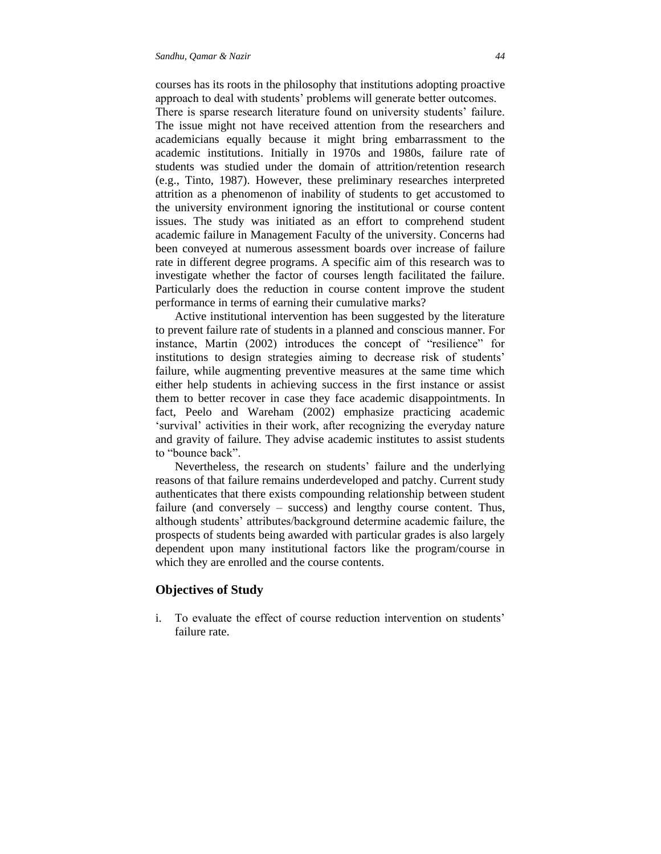courses has its roots in the philosophy that institutions adopting proactive approach to deal with students' problems will generate better outcomes.

There is sparse research literature found on university students' failure. The issue might not have received attention from the researchers and academicians equally because it might bring embarrassment to the academic institutions. Initially in 1970s and 1980s, failure rate of students was studied under the domain of attrition/retention research (e.g., Tinto, 1987). However, these preliminary researches interpreted attrition as a phenomenon of inability of students to get accustomed to the university environment ignoring the institutional or course content issues. The study was initiated as an effort to comprehend student academic failure in Management Faculty of the university. Concerns had been conveyed at numerous assessment boards over increase of failure rate in different degree programs. A specific aim of this research was to investigate whether the factor of courses length facilitated the failure. Particularly does the reduction in course content improve the student performance in terms of earning their cumulative marks?

Active institutional intervention has been suggested by the literature to prevent failure rate of students in a planned and conscious manner. For instance, Martin (2002) introduces the concept of "resilience" for institutions to design strategies aiming to decrease risk of students' failure, while augmenting preventive measures at the same time which either help students in achieving success in the first instance or assist them to better recover in case they face academic disappointments. In fact, Peelo and Wareham (2002) emphasize practicing academic 'survival' activities in their work, after recognizing the everyday nature and gravity of failure. They advise academic institutes to assist students to "bounce back".

Nevertheless, the research on students' failure and the underlying reasons of that failure remains underdeveloped and patchy. Current study authenticates that there exists compounding relationship between student failure (and conversely – success) and lengthy course content. Thus, although students' attributes/background determine academic failure, the prospects of students being awarded with particular grades is also largely dependent upon many institutional factors like the program/course in which they are enrolled and the course contents.

## **Objectives of Study**

i. To evaluate the effect of course reduction intervention on students' failure rate.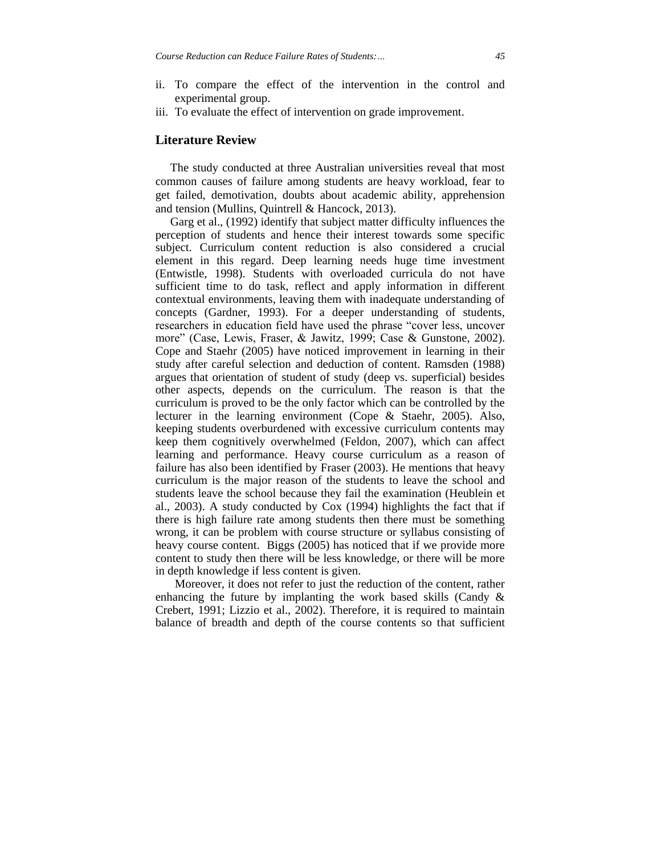- ii. To compare the effect of the intervention in the control and experimental group.
- iii. To evaluate the effect of intervention on grade improvement.

#### **Literature Review**

 The study conducted at three Australian universities reveal that most common causes of failure among students are heavy workload, fear to get failed, demotivation, doubts about academic ability, apprehension and tension (Mullins, Quintrell & Hancock, 2013).

 Garg et al., (1992) identify that subject matter difficulty influences the perception of students and hence their interest towards some specific subject. Curriculum content reduction is also considered a crucial element in this regard. Deep learning needs huge time investment (Entwistle, 1998). Students with overloaded curricula do not have sufficient time to do task, reflect and apply information in different contextual environments, leaving them with inadequate understanding of concepts (Gardner, 1993). For a deeper understanding of students, researchers in education field have used the phrase "cover less, uncover more" (Case, Lewis, Fraser, & Jawitz, 1999; Case & Gunstone, 2002). Cope and Staehr (2005) have noticed improvement in learning in their study after careful selection and deduction of content. Ramsden (1988) argues that orientation of student of study (deep vs. superficial) besides other aspects, depends on the curriculum. The reason is that the curriculum is proved to be the only factor which can be controlled by the lecturer in the learning environment (Cope & Staehr, 2005). Also, keeping students overburdened with excessive curriculum contents may keep them cognitively overwhelmed (Feldon, 2007), which can affect learning and performance. Heavy course curriculum as a reason of failure has also been identified by Fraser (2003). He mentions that heavy curriculum is the major reason of the students to leave the school and students leave the school because they fail the examination (Heublein et al., 2003). A study conducted by Cox (1994) highlights the fact that if there is high failure rate among students then there must be something wrong, it can be problem with course structure or syllabus consisting of heavy course content. Biggs (2005) has noticed that if we provide more content to study then there will be less knowledge, or there will be more in depth knowledge if less content is given.

Moreover, it does not refer to just the reduction of the content, rather enhancing the future by implanting the work based skills (Candy & Crebert, 1991; Lizzio et al., 2002). Therefore, it is required to maintain balance of breadth and depth of the course contents so that sufficient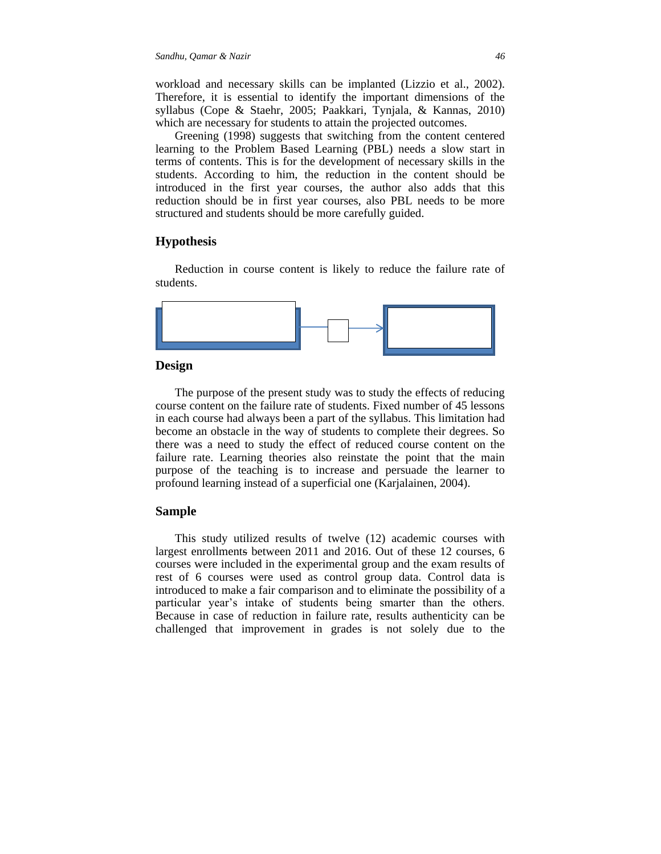workload and necessary skills can be implanted (Lizzio et al., 2002). Therefore, it is essential to identify the important dimensions of the syllabus (Cope & Staehr, 2005; Paakkari, Tynjala, & Kannas, 2010) which are necessary for students to attain the projected outcomes.

Greening (1998) suggests that switching from the content centered learning to the Problem Based Learning (PBL) needs a slow start in terms of contents. This is for the development of necessary skills in the students. According to him, the reduction in the content should be introduced in the first year courses, the author also adds that this reduction should be in first year courses, also PBL needs to be more structured and students should be more carefully guided.

#### **Hypothesis**

Reduction in course content is likely to reduce the failure rate of students.



#### **Design**

The purpose of the present study was to study the effects of reducing course content on the failure rate of students. Fixed number of 45 lessons in each course had always been a part of the syllabus. This limitation had become an obstacle in the way of students to complete their degrees. So there was a need to study the effect of reduced course content on the failure rate. Learning theories also reinstate the point that the main purpose of the teaching is to increase and persuade the learner to profound learning instead of a superficial one (Karjalainen, 2004).

#### **Sample**

This study utilized results of twelve (12) academic courses with largest enrollments between 2011 and 2016. Out of these 12 courses, 6 courses were included in the experimental group and the exam results of rest of 6 courses were used as control group data. Control data is introduced to make a fair comparison and to eliminate the possibility of a particular year's intake of students being smarter than the others. Because in case of reduction in failure rate, results authenticity can be challenged that improvement in grades is not solely due to the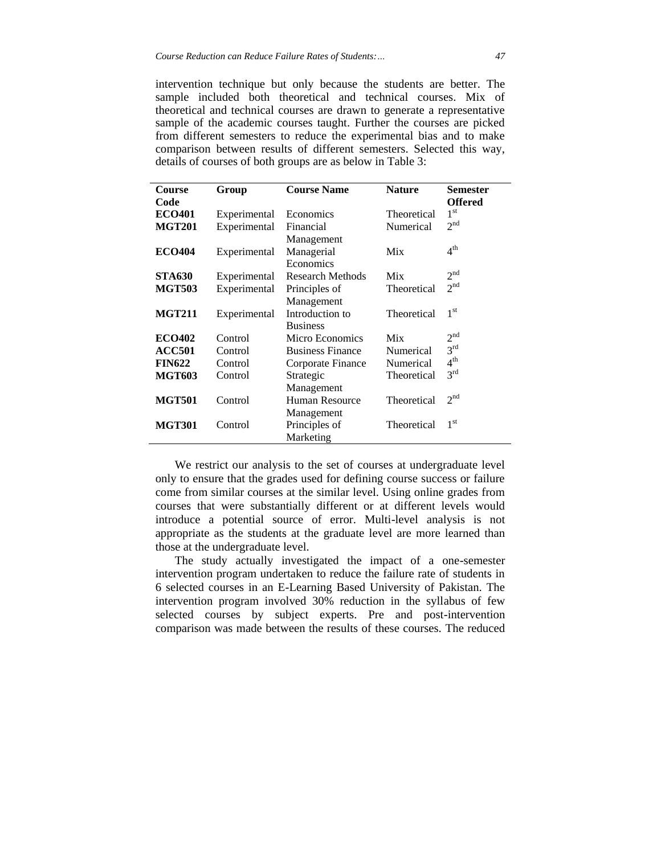intervention technique but only because the students are better. The sample included both theoretical and technical courses. Mix of theoretical and technical courses are drawn to generate a representative sample of the academic courses taught. Further the courses are picked from different semesters to reduce the experimental bias and to make comparison between results of different semesters. Selected this way, details of courses of both groups are as below in Table 3:

| <b>Course</b> | Group        | <b>Course Name</b>      | <b>Nature</b> | <b>Semester</b> |
|---------------|--------------|-------------------------|---------------|-----------------|
| Code          |              |                         |               | <b>Offered</b>  |
| <b>ECO401</b> | Experimental | Economics               | Theoretical   | 1 <sup>st</sup> |
| <b>MGT201</b> | Experimental | Financial               | Numerical     | 2 <sup>nd</sup> |
|               |              | Management              |               |                 |
| <b>ECO404</b> | Experimental | Managerial              | Mix           | 4 <sup>th</sup> |
|               |              | Economics               |               |                 |
| <b>STA630</b> | Experimental | <b>Research Methods</b> | Mix           | 2 <sup>nd</sup> |
| <b>MGT503</b> | Experimental | Principles of           | Theoretical   | 2 <sup>nd</sup> |
|               |              | Management              |               |                 |
| <b>MGT211</b> | Experimental | Introduction to         | Theoretical   | 1 <sup>st</sup> |
|               |              | <b>Business</b>         |               |                 |
| <b>ECO402</b> | Control      | Micro Economics         | Mix           | 2 <sup>nd</sup> |
| <b>ACC501</b> | Control      | <b>Business Finance</b> | Numerical     | 3 <sup>rd</sup> |
| <b>FIN622</b> | Control      | Corporate Finance       | Numerical     | $4^{\text{th}}$ |
| <b>MGT603</b> | Control      | Strategic               | Theoretical   | 3 <sup>rd</sup> |
|               |              | Management              |               |                 |
| <b>MGT501</b> | Control      | Human Resource          | Theoretical   | 2 <sup>nd</sup> |
|               |              | Management              |               |                 |
| <b>MGT301</b> | Control      | Principles of           | Theoretical   | 1 <sup>st</sup> |
|               |              | Marketing               |               |                 |

We restrict our analysis to the set of courses at undergraduate level only to ensure that the grades used for defining course success or failure come from similar courses at the similar level. Using online grades from courses that were substantially different or at different levels would introduce a potential source of error. Multi-level analysis is not appropriate as the students at the graduate level are more learned than those at the undergraduate level.

The study actually investigated the impact of a one-semester intervention program undertaken to reduce the failure rate of students in 6 selected courses in an E-Learning Based University of Pakistan. The intervention program involved 30% reduction in the syllabus of few selected courses by subject experts. Pre and post-intervention comparison was made between the results of these courses. The reduced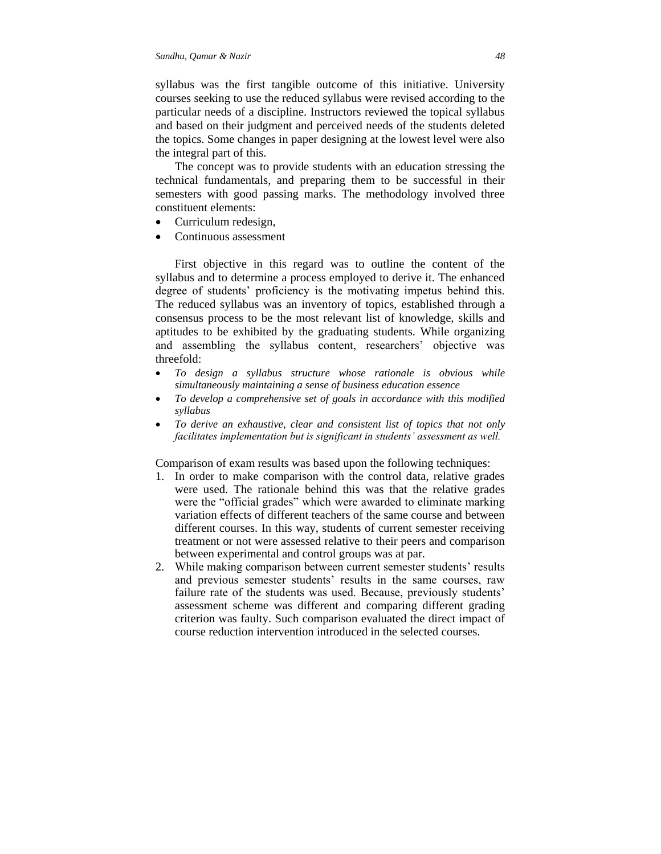syllabus was the first tangible outcome of this initiative. University courses seeking to use the reduced syllabus were revised according to the particular needs of a discipline. Instructors reviewed the topical syllabus and based on their judgment and perceived needs of the students deleted the topics. Some changes in paper designing at the lowest level were also the integral part of this.

The concept was to provide students with an education stressing the technical fundamentals, and preparing them to be successful in their semesters with good passing marks. The methodology involved three constituent elements:

- Curriculum redesign,
- Continuous assessment

First objective in this regard was to outline the content of the syllabus and to determine a process employed to derive it. The enhanced degree of students' proficiency is the motivating impetus behind this. The reduced syllabus was an inventory of topics, established through a consensus process to be the most relevant list of knowledge, skills and aptitudes to be exhibited by the graduating students. While organizing and assembling the syllabus content, researchers' objective was threefold:

- *To design a syllabus structure whose rationale is obvious while simultaneously maintaining a sense of business education essence*
- *To develop a comprehensive set of goals in accordance with this modified syllabus*
- *To derive an exhaustive, clear and consistent list of topics that not only facilitates implementation but is significant in students' assessment as well.*

Comparison of exam results was based upon the following techniques:

- 1. In order to make comparison with the control data, relative grades were used. The rationale behind this was that the relative grades were the "official grades" which were awarded to eliminate marking variation effects of different teachers of the same course and between different courses. In this way, students of current semester receiving treatment or not were assessed relative to their peers and comparison between experimental and control groups was at par.
- 2. While making comparison between current semester students' results and previous semester students' results in the same courses, raw failure rate of the students was used. Because, previously students' assessment scheme was different and comparing different grading criterion was faulty. Such comparison evaluated the direct impact of course reduction intervention introduced in the selected courses.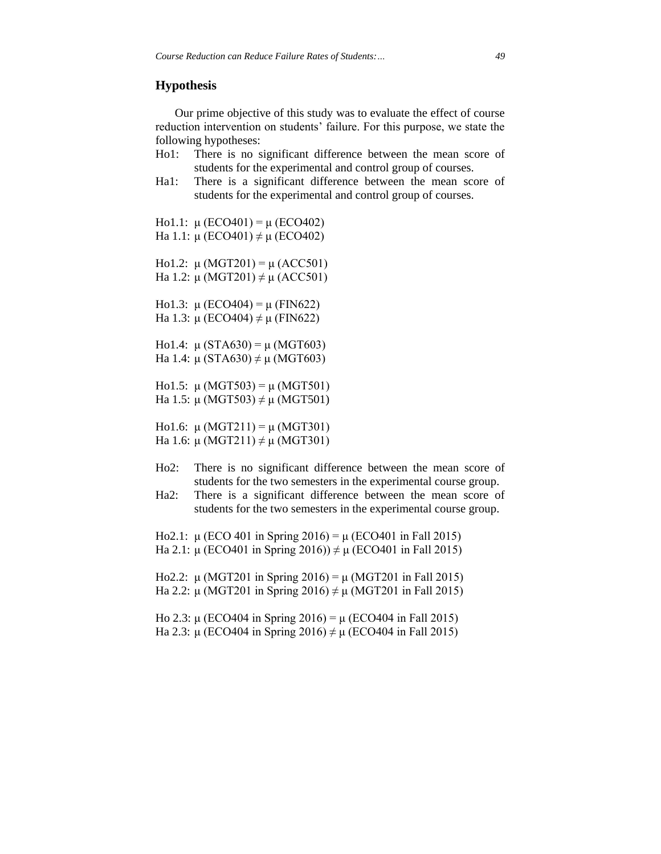## **Hypothesis**

Our prime objective of this study was to evaluate the effect of course reduction intervention on students' failure. For this purpose, we state the following hypotheses:

- Ho1: There is no significant difference between the mean score of students for the experimental and control group of courses.
- Ha1: There is a significant difference between the mean score of students for the experimental and control group of courses.

Ho1.1:  $\mu$  (ECO401) =  $\mu$  (ECO402) Ha 1.1: μ (ECO401)  $\neq$  μ (ECO402) Ho1.2:  $\mu$  (MGT201) =  $\mu$  (ACC501) Ha 1.2: μ (MGT201)  $\neq$  μ (ACC501) Ho1.3:  $\mu$  (ECO404) =  $\mu$  (FIN622) Ha 1.3: μ (ECO404)  $\neq$  μ (FIN622) Ho1.4:  $\mu$  (STA630) =  $\mu$  (MGT603) Ha 1.4: μ (STA630)  $\neq$  μ (MGT603) Ho1.5:  $\mu$  (MGT503) =  $\mu$  (MGT501) Ha 1.5: μ (MGT503)  $\neq$  μ (MGT501) Ho1.6:  $\mu$  (MGT211) =  $\mu$  (MGT301) Ha 1.6: μ (MGT211)  $\neq$  μ (MGT301)

- Ho2: There is no significant difference between the mean score of students for the two semesters in the experimental course group.
- Ha2: There is a significant difference between the mean score of students for the two semesters in the experimental course group.

Ho2.1:  $\mu$  (ECO 401 in Spring 2016) =  $\mu$  (ECO401 in Fall 2015) Ha 2.1: μ (ECO401 in Spring 2016))  $\neq$  μ (ECO401 in Fall 2015)

Ho2.2: μ (MGT201 in Spring 2016) = μ (MGT201 in Fall 2015) Ha 2.2: μ (MGT201 in Spring 2016)  $\neq$  μ (MGT201 in Fall 2015)

Ho 2.3: μ (ECO404 in Spring 2016) = μ (ECO404 in Fall 2015) Ha 2.3: μ (ECO404 in Spring 2016)  $\neq$  μ (ECO404 in Fall 2015)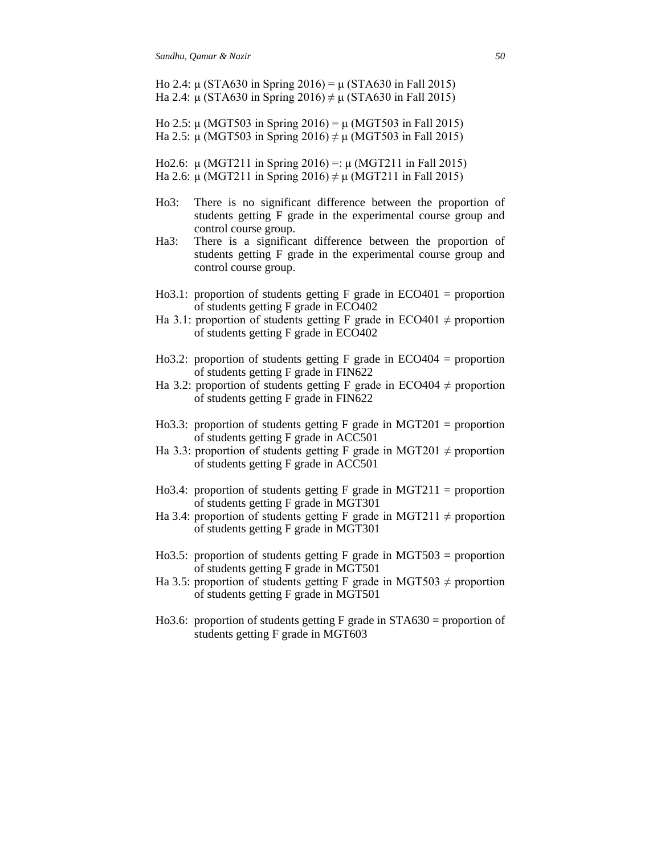Ho 2.4: μ (STA630 in Spring 2016) = μ (STA630 in Fall 2015) Ha 2.4: μ (STA630 in Spring 2016)  $\neq$  μ (STA630 in Fall 2015)

Ho 2.5: μ (MGT503 in Spring 2016) = μ (MGT503 in Fall 2015) Ha 2.5: μ (MGT503 in Spring 2016)  $\neq$  μ (MGT503 in Fall 2015)

Ho2.6: μ (MGT211 in Spring 2016) =: μ (MGT211 in Fall 2015) Ha 2.6: μ (MGT211 in Spring 2016)  $\neq$  μ (MGT211 in Fall 2015)

- Ho3: There is no significant difference between the proportion of students getting F grade in the experimental course group and control course group.
- Ha3: There is a significant difference between the proportion of students getting F grade in the experimental course group and control course group.
- Ho3.1: proportion of students getting  $F$  grade in ECO401 = proportion of students getting F grade in ECO402
- Ha 3.1: proportion of students getting F grade in ECO401  $\neq$  proportion of students getting F grade in ECO402
- Ho3.2: proportion of students getting  $F$  grade in ECO404 = proportion of students getting F grade in FIN622
- Ha 3.2: proportion of students getting F grade in ECO404  $\neq$  proportion of students getting F grade in FIN622
- Ho3.3: proportion of students getting F grade in MGT201 = proportion of students getting F grade in ACC501
- Ha 3.3: proportion of students getting F grade in MGT201  $\neq$  proportion of students getting F grade in ACC501
- Ho3.4: proportion of students getting F grade in MGT211 = proportion of students getting F grade in MGT301
- Ha 3.4: proportion of students getting F grade in MGT211  $\neq$  proportion of students getting F grade in MGT301
- Ho3.5: proportion of students getting F grade in MGT503 = proportion of students getting F grade in MGT501
- Ha 3.5: proportion of students getting F grade in MGT503  $\neq$  proportion of students getting F grade in MGT501
- Ho3.6: proportion of students getting F grade in  $STA630 =$  proportion of students getting F grade in MGT603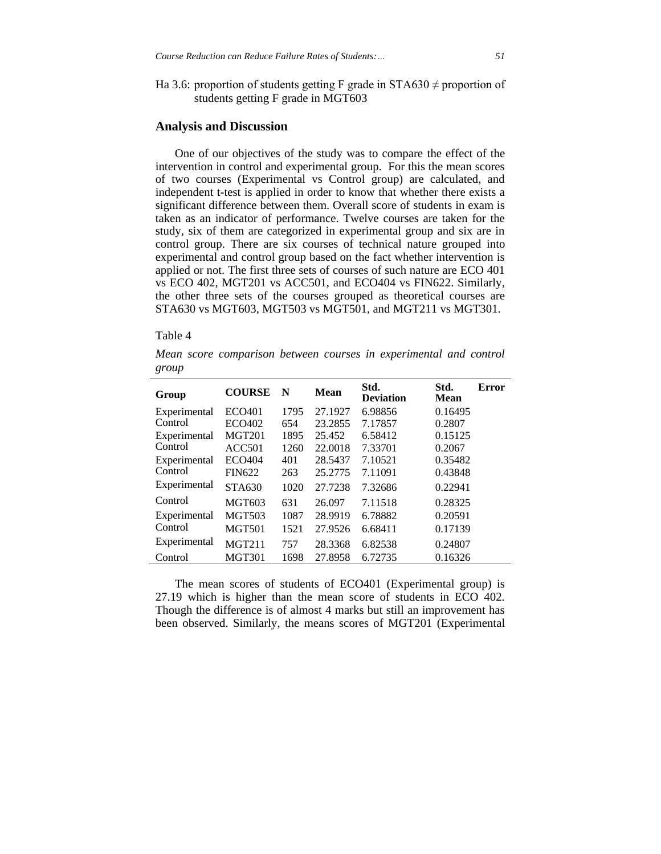Ha 3.6: proportion of students getting F grade in STA630  $\neq$  proportion of students getting F grade in MGT603

## **Analysis and Discussion**

One of our objectives of the study was to compare the effect of the intervention in control and experimental group. For this the mean scores of two courses (Experimental vs Control group) are calculated, and independent t-test is applied in order to know that whether there exists a significant difference between them. Overall score of students in exam is taken as an indicator of performance. Twelve courses are taken for the study, six of them are categorized in experimental group and six are in control group. There are six courses of technical nature grouped into experimental and control group based on the fact whether intervention is applied or not. The first three sets of courses of such nature are ECO 401 vs ECO 402, MGT201 vs ACC501, and ECO404 vs FIN622. Similarly, the other three sets of the courses grouped as theoretical courses are STA630 vs MGT603, MGT503 vs MGT501, and MGT211 vs MGT301.

#### Table 4

*Mean score comparison between courses in experimental and control group*

| Group        | <b>COURSE</b>      | N    | Mean    | Std.<br><b>Deviation</b> | Std.<br>Mean | Error |
|--------------|--------------------|------|---------|--------------------------|--------------|-------|
| Experimental | ECO401             | 1795 | 27.1927 | 6.98856                  | 0.16495      |       |
| Control      | ECO402             | 654  | 23.2855 | 7.17857                  | 0.2807       |       |
| Experimental | <b>MGT201</b>      | 1895 | 25.452  | 6.58412                  | 0.15125      |       |
| Control      | ACC <sub>501</sub> | 1260 | 22.0018 | 7.33701                  | 0.2067       |       |
| Experimental | <b>ECO404</b>      | 401  | 28.5437 | 7.10521                  | 0.35482      |       |
| Control      | <b>FIN622</b>      | 263  | 25.2775 | 7.11091                  | 0.43848      |       |
| Experimental | <b>STA630</b>      | 1020 | 27.7238 | 7.32686                  | 0.22941      |       |
| Control      | MGT603             | 631  | 26.097  | 7.11518                  | 0.28325      |       |
| Experimental | <b>MGT503</b>      | 1087 | 28.9919 | 6.78882                  | 0.20591      |       |
| Control      | <b>MGT501</b>      | 1521 | 27.9526 | 6.68411                  | 0.17139      |       |
| Experimental | <b>MGT211</b>      | 757  | 28.3368 | 6.82538                  | 0.24807      |       |
| Control      | <b>MGT301</b>      | 1698 | 27.8958 | 6.72735                  | 0.16326      |       |

The mean scores of students of ECO401 (Experimental group) is 27.19 which is higher than the mean score of students in ECO 402. Though the difference is of almost 4 marks but still an improvement has been observed. Similarly, the means scores of MGT201 (Experimental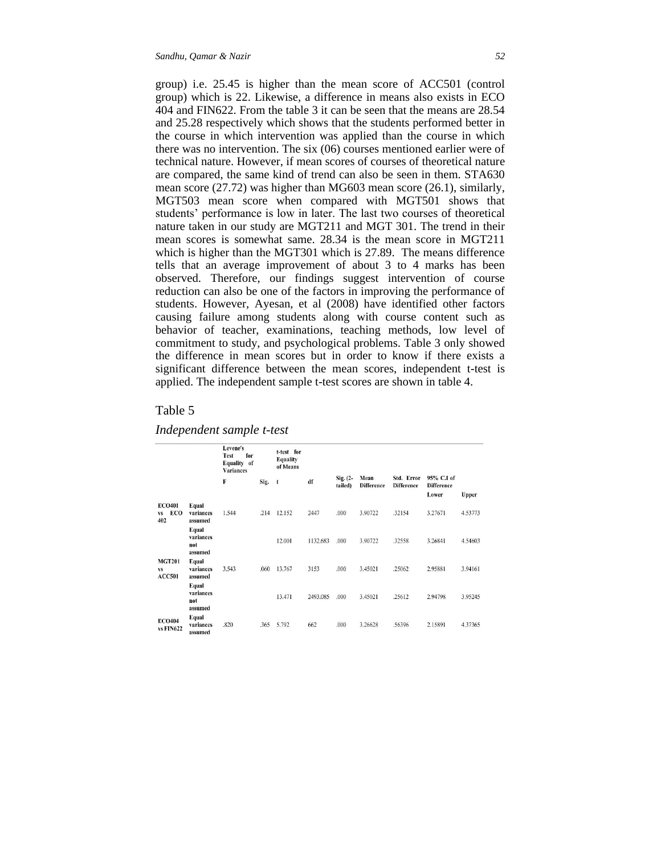group) i.e. 25.45 is higher than the mean score of ACC501 (control group) which is 22. Likewise, a difference in means also exists in ECO 404 and FIN622. From the table 3 it can be seen that the means are 28.54 and 25.28 respectively which shows that the students performed better in the course in which intervention was applied than the course in which there was no intervention. The six (06) courses mentioned earlier were of technical nature. However, if mean scores of courses of theoretical nature are compared, the same kind of trend can also be seen in them. STA630 mean score (27.72) was higher than MG603 mean score (26.1), similarly, MGT503 mean score when compared with MGT501 shows that students' performance is low in later. The last two courses of theoretical nature taken in our study are MGT211 and MGT 301. The trend in their mean scores is somewhat same. 28.34 is the mean score in MGT211 which is higher than the MGT301 which is 27.89. The means difference tells that an average improvement of about 3 to 4 marks has been observed. Therefore, our findings suggest intervention of course reduction can also be one of the factors in improving the performance of students. However, Ayesan, et al (2008) have identified other factors causing failure among students along with course content such as behavior of teacher, examinations, teaching methods, low level of commitment to study, and psychological problems. Table 3 only showed the difference in mean scores but in order to know if there exists a significant difference between the mean scores, independent t-test is applied. The independent sample t-test scores are shown in table 4.

#### Table 5

| Independent sample t-test |  |  |
|---------------------------|--|--|
|---------------------------|--|--|

|                                             |                                      | Levene's<br>for<br>Test<br>Equality of<br><b>Variances</b> |      | t-test for<br><b>Equality</b><br>of Means |          |                        |                           |                                 |                                          |         |
|---------------------------------------------|--------------------------------------|------------------------------------------------------------|------|-------------------------------------------|----------|------------------------|---------------------------|---------------------------------|------------------------------------------|---------|
|                                             |                                      | F                                                          | Sig. | $\mathbf{t}$                              | df       | $Sig. (2 -$<br>tailed) | Mean<br><b>Difference</b> | Std. Error<br><b>Difference</b> | 95% C.I of<br><b>Difference</b><br>Lower | Upper   |
| <b>ECO401</b><br>ECO<br><b>VS</b><br>402    | Equal<br>variances<br>assumed        | 1.544                                                      | .214 | 12.152                                    | 2447     | .000                   | 3.90722                   | .32154                          | 3.27671                                  | 4.53773 |
|                                             | Equal<br>variances<br>not<br>assumed |                                                            |      | 12.001                                    | 1132.683 | .000                   | 3.90722                   | .32558                          | 3.26841                                  | 4.54603 |
| <b>MGT201</b><br><b>VS</b><br><b>ACC501</b> | Equal<br>variances<br>assumed        | 3.543                                                      | .060 | 13.767                                    | 3153     | .000                   | 3.45021                   | .25062                          | 2.95881                                  | 3.94161 |
|                                             | Equal<br>variances<br>not<br>assumed |                                                            |      | 13.471                                    | 2493.085 | .000                   | 3.45021                   | .25612                          | 2.94798                                  | 3.95245 |
| <b>ECO404</b><br><b>vs FIN622</b>           | Equal<br>variances<br>assumed        | .820                                                       | .365 | 5.792                                     | 662      | .000                   | 3.26628                   | .56396                          | 2.15891                                  | 4.37365 |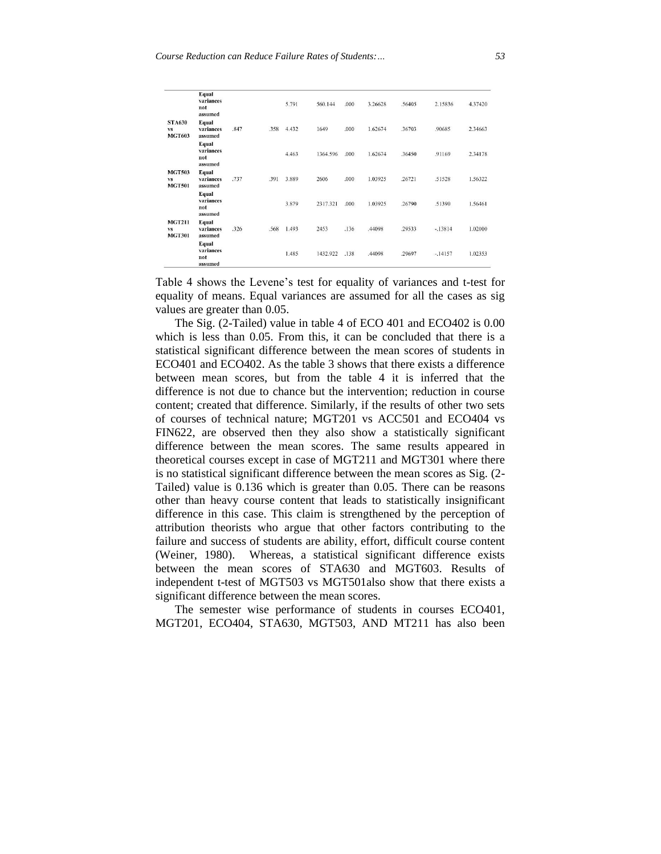|                                             | Equal<br>variances<br>not<br>assumed |      |      | 5.791 | 560.144  | .000 | 3.26628 | .56405 | 2.15836   | 4.37420 |
|---------------------------------------------|--------------------------------------|------|------|-------|----------|------|---------|--------|-----------|---------|
| <b>STA630</b><br><b>VS</b><br><b>MGT603</b> | Equal<br>variances<br>assumed        | .847 | .358 | 4.432 | 1649     | .000 | 1.62674 | 36703  | .90685    | 2.34663 |
|                                             | Equal<br>variances<br>not<br>assumed |      |      | 4.463 | 1364.596 | .000 | 1.62674 | .36450 | .91169    | 2.34178 |
| <b>MGT503</b><br><b>VS</b><br><b>MGT501</b> | Equal<br>variances<br>assumed        | .737 | .391 | 3.889 | 2606     | .000 | 1.03925 | .26721 | .51528    | 1.56322 |
|                                             | Equal<br>variances<br>not<br>assumed |      |      | 3.879 | 2317.321 | .000 | 1.03925 | .26790 | .51390    | 1.56461 |
| <b>MGT211</b><br><b>VS</b><br><b>MGT301</b> | Equal<br>variances<br>assumed        | .326 | .568 | 1.493 | 2453     | .136 | .44098  | .29533 | $-.13814$ | 1.02010 |
|                                             | Equal<br>variances<br>not<br>assumed |      |      | 1.485 | 1432.922 | .138 | .44098  | .29697 | $-14157$  | 1.02353 |

Table 4 shows the Levene's test for equality of variances and t-test for equality of means. Equal variances are assumed for all the cases as sig values are greater than 0.05.

The Sig. (2-Tailed) value in table 4 of ECO 401 and ECO402 is 0.00 which is less than 0.05. From this, it can be concluded that there is a statistical significant difference between the mean scores of students in ECO401 and ECO402. As the table 3 shows that there exists a difference between mean scores, but from the table 4 it is inferred that the difference is not due to chance but the intervention; reduction in course content; created that difference. Similarly, if the results of other two sets of courses of technical nature; MGT201 vs ACC501 and ECO404 vs FIN622, are observed then they also show a statistically significant difference between the mean scores. The same results appeared in theoretical courses except in case of MGT211 and MGT301 where there is no statistical significant difference between the mean scores as Sig. (2- Tailed) value is 0.136 which is greater than 0.05. There can be reasons other than heavy course content that leads to statistically insignificant difference in this case. This claim is strengthened by the perception of attribution theorists who argue that other factors contributing to the failure and success of students are ability, effort, difficult course content (Weiner, 1980). Whereas, a statistical significant difference exists between the mean scores of STA630 and MGT603. Results of independent t-test of MGT503 vs MGT501also show that there exists a significant difference between the mean scores.

The semester wise performance of students in courses ECO401, MGT201, ECO404, STA630, MGT503, AND MT211 has also been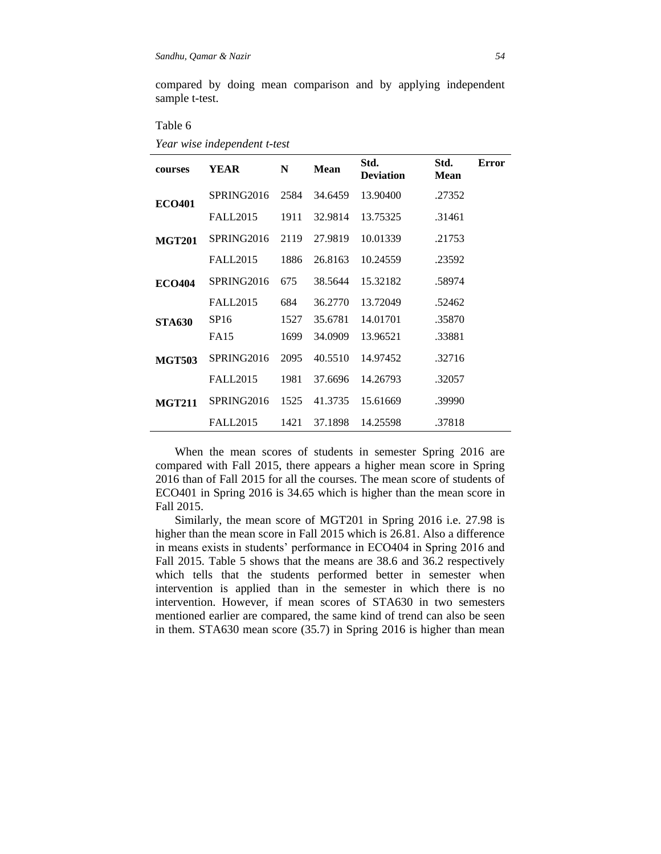compared by doing mean comparison and by applying independent sample t-test.

Table 6

|  |  |  |  | Year wise independent t-test |
|--|--|--|--|------------------------------|
|--|--|--|--|------------------------------|

| courses       | YEAR            | N    | <b>Mean</b> | Std.<br><b>Deviation</b> | Std.<br><b>Mean</b> | <b>Error</b> |
|---------------|-----------------|------|-------------|--------------------------|---------------------|--------------|
| <b>ECO401</b> | SPRING2016      | 2584 | 34.6459     | 13.90400                 | .27352              |              |
|               | <b>FALL2015</b> | 1911 | 32.9814     | 13.75325                 | .31461              |              |
| <b>MGT201</b> | SPRING2016      | 2119 | 27.9819     | 10.01339                 | .21753              |              |
|               | <b>FALL2015</b> | 1886 | 26.8163     | 10.24559                 | .23592              |              |
| <b>ECO404</b> | SPRING2016      | 675  | 38.5644     | 15.32182                 | .58974              |              |
|               | <b>FALL2015</b> | 684  | 36.2770     | 13.72049                 | .52462              |              |
| <b>STA630</b> | SP16            | 1527 | 35.6781     | 14.01701                 | .35870              |              |
|               | <b>FA15</b>     | 1699 | 34.0909     | 13.96521                 | .33881              |              |
| <b>MGT503</b> | SPRING2016      | 2095 | 40.5510     | 14.97452                 | .32716              |              |
|               | <b>FALL2015</b> | 1981 | 37.6696     | 14.26793                 | .32057              |              |
| <b>MGT211</b> | SPRING2016      | 1525 | 41.3735     | 15.61669                 | .39990              |              |
|               | <b>FALL2015</b> | 1421 | 37.1898     | 14.25598                 | .37818              |              |

When the mean scores of students in semester Spring 2016 are compared with Fall 2015, there appears a higher mean score in Spring 2016 than of Fall 2015 for all the courses. The mean score of students of ECO401 in Spring 2016 is 34.65 which is higher than the mean score in Fall 2015.

Similarly, the mean score of MGT201 in Spring 2016 i.e. 27.98 is higher than the mean score in Fall 2015 which is 26.81. Also a difference in means exists in students' performance in ECO404 in Spring 2016 and Fall 2015. Table 5 shows that the means are 38.6 and 36.2 respectively which tells that the students performed better in semester when intervention is applied than in the semester in which there is no intervention. However, if mean scores of STA630 in two semesters mentioned earlier are compared, the same kind of trend can also be seen in them. STA630 mean score (35.7) in Spring 2016 is higher than mean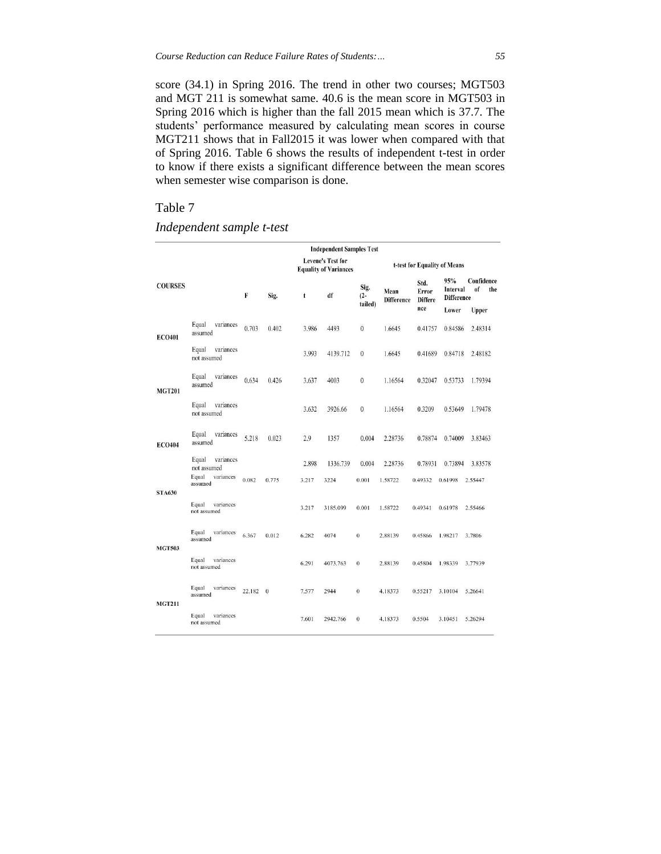score (34.1) in Spring 2016. The trend in other two courses; MGT503 and MGT 211 is somewhat same. 40.6 is the mean score in MGT503 in Spring 2016 which is higher than the fall 2015 mean which is 37.7. The students' performance measured by calculating mean scores in course MGT211 shows that in Fall2015 it was lower when compared with that of Spring 2016. Table 6 shows the results of independent t-test in order to know if there exists a significant difference between the mean scores when semester wise comparison is done.

## Table 7

## *Independent sample t-test*

|                |                                                                    |        |          |                | <b>Independent Samples Test</b>                          |                           |                           |                                        |                                      |                                    |
|----------------|--------------------------------------------------------------------|--------|----------|----------------|----------------------------------------------------------|---------------------------|---------------------------|----------------------------------------|--------------------------------------|------------------------------------|
|                |                                                                    |        |          |                | <b>Levene's Test for</b><br><b>Equality of Variances</b> |                           |                           | t-test for Equality of Means           |                                      |                                    |
| <b>COURSES</b> |                                                                    | F      | Sig.     | t              | df                                                       | Sig.<br>$(2 -$<br>tailed) | Mean<br><b>Difference</b> | Std.<br>Error<br><b>Differe</b><br>nce | 95%<br>Interval<br><b>Difference</b> | Confidence<br><sub>of</sub><br>the |
| <b>ECO401</b>  | Equal<br>variances<br>assumed                                      | 0.703  | 0.402    | 3.986          | 4493                                                     | $\mathbf{0}$              | 1.6645                    | 0.41757                                | Lower<br>0.84586                     | Upper<br>2.48314                   |
|                | Equal<br>variances<br>not assumed                                  |        |          | 3.993          | 4139.712                                                 | $\mathbf{0}$              | 1.6645                    | 0.41689                                | 0.84718                              | 2.48182                            |
| <b>MGT201</b>  | Equal<br>variances<br>assumed                                      | 0.634  | 0.426    | 3.637          | 4003                                                     | $\mathbf{0}$              | 1.16564                   | 0.32047                                | 0.53733                              | 1.79394                            |
|                | variances<br>Equal<br>not assumed                                  |        |          | 3.632          | 3926.66                                                  | $\theta$                  | 1.16564                   | 0.3209                                 | 0.53649                              | 1.79478                            |
| <b>ECO404</b>  | Equal<br>variances<br>assumed                                      | 5.218  | 0.023    | 2.9            | 1357                                                     | 0.004                     | 2.28736                   | 0.78874                                | 0.74009                              | 3.83463                            |
| <b>STA630</b>  | variances<br>Equal<br>not assumed<br>Equal<br>variances<br>assumed | 0.082  | 0.775    | 2.898<br>3.217 | 1336.739<br>3224                                         | 0.004<br>0.001            | 2.28736<br>1.58722        | 0.78931<br>0.49332                     | 0.73894<br>0.61998                   | 3.83578<br>2.55447                 |
|                | Equal<br>variances<br>not assumed                                  |        |          | 3.217          | 3185.099                                                 | 0.001                     | 1.58722                   | 0.49341                                | 0.61978                              | 2.55466                            |
| <b>MGT503</b>  | Equal<br>variances<br>assumed                                      | 6.367  | 0.012    | 6.282          | 4074                                                     | $\boldsymbol{0}$          | 2.88139                   | 0.45866                                | 1.98217                              | 3.7806                             |
|                | variances<br>Equal<br>not assumed                                  |        |          | 6.291          | 4073.763                                                 | $\bf{0}$                  | 2.88139                   | 0.45804                                | 1.98339                              | 3.77939                            |
| <b>MGT211</b>  | Equal<br>variances<br>assumed                                      | 22.182 | $\bf{0}$ | 7.577          | 2944                                                     | $\bf{0}$                  | 4.18373                   | 0.55217                                | 3.10104                              | 5.26641                            |
|                | variances<br>Equal<br>not assumed                                  |        |          | 7.601          | 2942.766                                                 | $\bf{0}$                  | 4.18373                   | 0.5504                                 | 3.10451                              | 5.26294                            |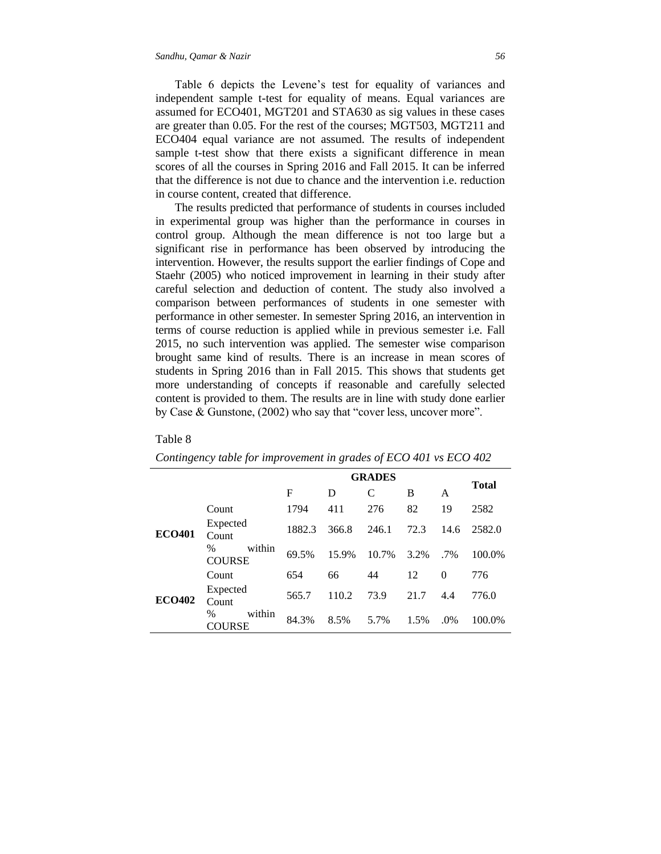Table 6 depicts the Levene's test for equality of variances and independent sample t-test for equality of means. Equal variances are assumed for ECO401, MGT201 and STA630 as sig values in these cases are greater than 0.05. For the rest of the courses; MGT503, MGT211 and ECO404 equal variance are not assumed. The results of independent sample t-test show that there exists a significant difference in mean scores of all the courses in Spring 2016 and Fall 2015. It can be inferred that the difference is not due to chance and the intervention i.e. reduction in course content, created that difference.

The results predicted that performance of students in courses included in experimental group was higher than the performance in courses in control group. Although the mean difference is not too large but a significant rise in performance has been observed by introducing the intervention. However, the results support the earlier findings of Cope and Staehr (2005) who noticed improvement in learning in their study after careful selection and deduction of content. The study also involved a comparison between performances of students in one semester with performance in other semester. In semester Spring 2016, an intervention in terms of course reduction is applied while in previous semester i.e. Fall 2015, no such intervention was applied. The semester wise comparison brought same kind of results. There is an increase in mean scores of students in Spring 2016 than in Fall 2015. This shows that students get more understanding of concepts if reasonable and carefully selected content is provided to them. The results are in line with study done earlier by Case & Gunstone, (2002) who say that "cover less, uncover more".

|               |                                 |        |       | <b>GRADES</b> |      |          | <b>Total</b> |
|---------------|---------------------------------|--------|-------|---------------|------|----------|--------------|
|               |                                 | F      | D     | C             | B    | A        |              |
|               | Count                           | 1794   | 411   | 276           | 82   | 19       | 2582         |
| <b>ECO401</b> | Expected<br>Count               | 1882.3 | 366.8 | 246.1         | 72.3 | 14.6     | 2582.0       |
|               | within<br>$\%$<br><b>COURSE</b> | 69.5%  | 15.9% | 10.7%         | 3.2% | $.7\%$   | 100.0%       |
|               | Count                           | 654    | 66    | 44            | 12   | $\theta$ | 776          |
| <b>ECO402</b> | Expected<br>Count               | 565.7  | 110.2 | 73.9          | 21.7 | 4.4      | 776.0        |
|               | $\%$<br>within<br>COURSE        | 84.3%  | 8.5%  | 5.7%          | 1.5% | .0%      | 100.0%       |

#### Table 8

| Contingency table for improvement in grades of ECO 401 vs ECO 402 |  |  |
|-------------------------------------------------------------------|--|--|
|-------------------------------------------------------------------|--|--|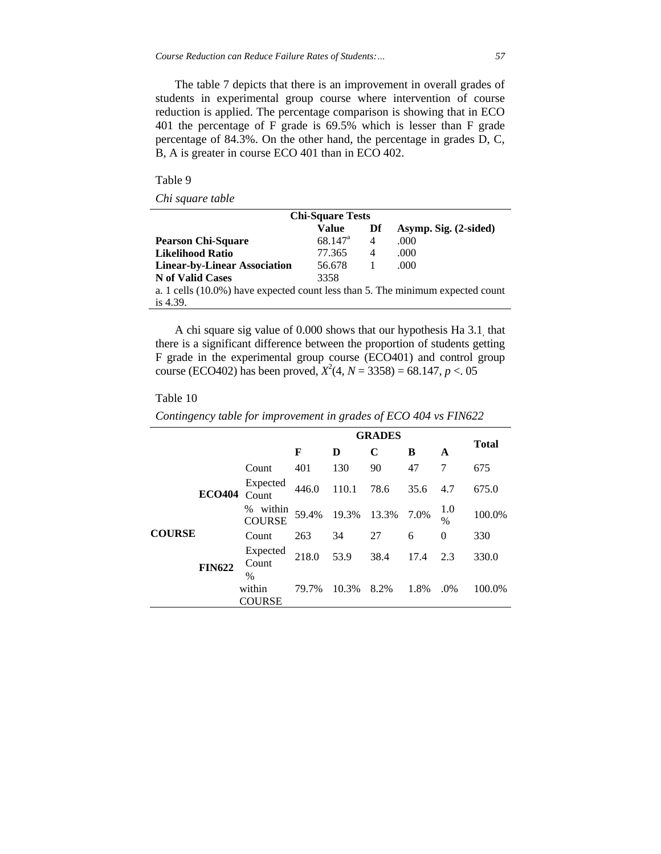The table 7 depicts that there is an improvement in overall grades of students in experimental group course where intervention of course reduction is applied. The percentage comparison is showing that in ECO 401 the percentage of F grade is 69.5% which is lesser than F grade percentage of 84.3%. On the other hand, the percentage in grades D, C, B, A is greater in course ECO 401 than in ECO 402.

Table 9

*Chi square table*

| <b>Chi-Square Tests</b>                                                        |                  |    |                       |  |  |  |  |  |
|--------------------------------------------------------------------------------|------------------|----|-----------------------|--|--|--|--|--|
|                                                                                | Value            | Df | Asymp. Sig. (2-sided) |  |  |  |  |  |
| <b>Pearson Chi-Square</b>                                                      | $68.147^{\circ}$ | 4  | .000                  |  |  |  |  |  |
| <b>Likelihood Ratio</b>                                                        | 77.365           | 4  | .000                  |  |  |  |  |  |
| <b>Linear-by-Linear Association</b>                                            | 56.678           | -1 | .000                  |  |  |  |  |  |
| N of Valid Cases                                                               | 3358             |    |                       |  |  |  |  |  |
| a. 1 cells (10.0%) have expected count less than 5. The minimum expected count |                  |    |                       |  |  |  |  |  |
| is $4.39$ .                                                                    |                  |    |                       |  |  |  |  |  |

A chi square sig value of 0.000 shows that our hypothesis Ha 3.1, that there is a significant difference between the proportion of students getting F grade in the experimental group course (ECO401) and control group course (ECO402) has been proved,  $X^2(4, N = 3358) = 68.147, p < 05$ 

#### Table 10

|  | Contingency table for improvement in grades of ECO 404 vs FIN622 |  |  |  |
|--|------------------------------------------------------------------|--|--|--|
|  |                                                                  |  |  |  |

|               |               |                                          |       | <b>Total</b> |       |      |             |        |
|---------------|---------------|------------------------------------------|-------|--------------|-------|------|-------------|--------|
|               |               |                                          | F     | D            | C     | B    | A           |        |
|               |               | Count                                    | 401   | 130          | 90    | 47   | 7           | 675    |
| <b>COURSE</b> | <b>ECO404</b> | Expected<br>Count                        | 446.0 | 110.1        | 78.6  | 35.6 | 4.7         | 675.0  |
|               |               | within<br>%<br><b>COURSE</b>             | 59.4% | 19.3%        | 13.3% | 7.0% | 1.0<br>$\%$ | 100.0% |
|               | <b>FIN622</b> | Count                                    | 263   | 34           | 27    | 6    | $\Omega$    | 330    |
|               |               | Expected<br>Count                        | 218.0 | 53.9         | 38.4  | 17.4 | 2.3         | 330.0  |
|               |               | $\frac{0}{0}$<br>within<br><b>COURSE</b> | 79.7% | 10.3%        | 8.2%  | 1.8% | .0%         | 100.0% |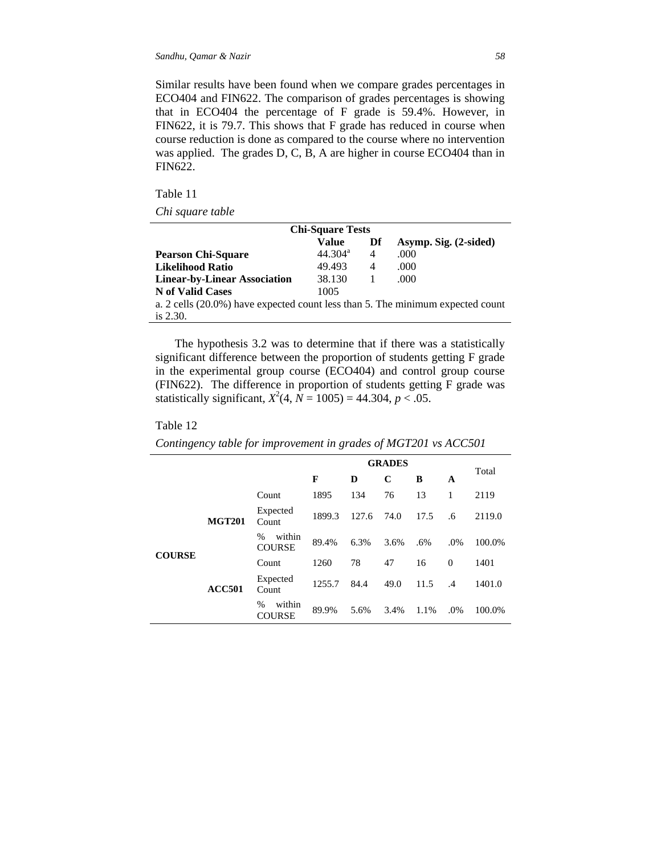Similar results have been found when we compare grades percentages in ECO404 and FIN622. The comparison of grades percentages is showing that in ECO404 the percentage of F grade is 59.4%. However, in FIN622, it is 79.7. This shows that F grade has reduced in course when course reduction is done as compared to the course where no intervention was applied. The grades D, C, B, A are higher in course ECO404 than in FIN622.

Table 11

*Chi square table*

| <b>Chi-Square Tests</b>                                                        |                  |    |                       |  |  |  |  |
|--------------------------------------------------------------------------------|------------------|----|-----------------------|--|--|--|--|
|                                                                                | Value            | Df | Asymp. Sig. (2-sided) |  |  |  |  |
| <b>Pearson Chi-Square</b>                                                      | $44.304^{\rm a}$ | 4  | .000                  |  |  |  |  |
| <b>Likelihood Ratio</b>                                                        | 49.493           | 4  | .000                  |  |  |  |  |
| <b>Linear-by-Linear Association</b>                                            | 38.130           | -1 | .000                  |  |  |  |  |
| N of Valid Cases                                                               | 1005             |    |                       |  |  |  |  |
| a. 2 cells (20.0%) have expected count less than 5. The minimum expected count |                  |    |                       |  |  |  |  |
| is $2.30$ .                                                                    |                  |    |                       |  |  |  |  |

The hypothesis 3.2 was to determine that if there was a statistically significant difference between the proportion of students getting F grade in the experimental group course (ECO404) and control group course (FIN622). The difference in proportion of students getting F grade was statistically significant,  $X^2(4, N = 1005) = 44.304, p < .05$ .

#### Table 12

*Contingency table for improvement in grades of MGT201 vs ACC501*

|               |               |                                 | <b>GRADES</b> |       |      |        |           |        |
|---------------|---------------|---------------------------------|---------------|-------|------|--------|-----------|--------|
|               |               |                                 | F             | D     | C    | B      | A         | Total  |
|               |               | Count                           | 1895          | 134   | 76   | 13     | 1         | 2119   |
| <b>COURSE</b> | <b>MGT201</b> | Expected<br>Count               | 1899.3        | 127.6 | 74.0 | 17.5   | .6        | 2119.0 |
|               |               | within<br>$\%$<br><b>COURSE</b> | 89.4%         | 6.3%  | 3.6% | $.6\%$ | .0%       | 100.0% |
|               | <b>ACC501</b> | Count                           | 1260          | 78    | 47   | 16     | $\Omega$  | 1401   |
|               |               | Expected<br>Count               | 1255.7        | 84.4  | 49.0 | 11.5   | $\cdot$ 4 | 1401.0 |
|               |               | within<br>%<br>COURSE           | 89.9%         | 5.6%  | 3.4% | 1.1%   | .0%       | 100.0% |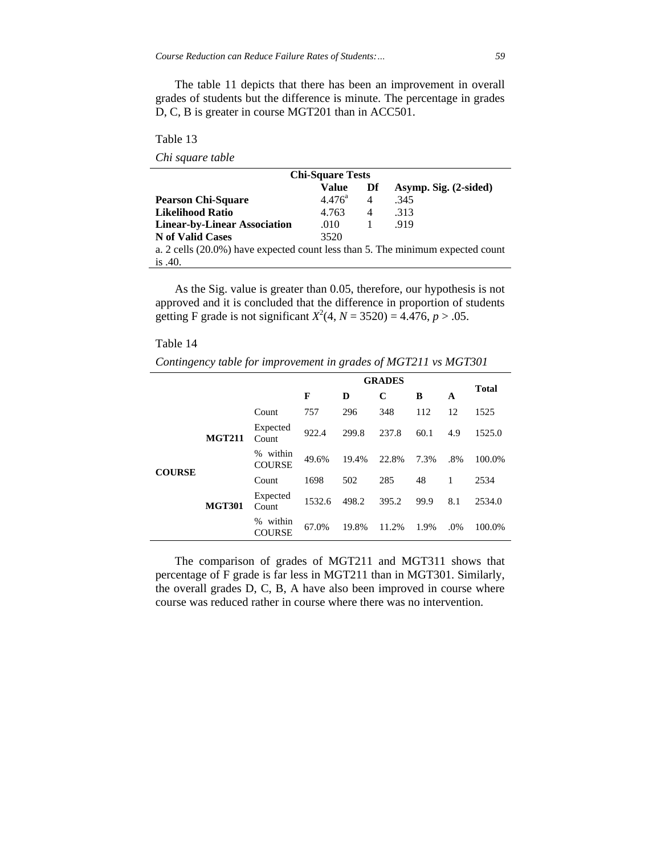The table 11 depicts that there has been an improvement in overall grades of students but the difference is minute. The percentage in grades D, C, B is greater in course MGT201 than in ACC501.

Table 13

| Chi square table |  |
|------------------|--|
|                  |  |

| <b>Chi-Square Tests</b>                                                        |                 |    |                       |  |  |  |  |
|--------------------------------------------------------------------------------|-----------------|----|-----------------------|--|--|--|--|
|                                                                                | <b>Value</b>    | Df | Asymp. Sig. (2-sided) |  |  |  |  |
| <b>Pearson Chi-Square</b>                                                      | $4.476^{\rm a}$ | 4  | .345                  |  |  |  |  |
| <b>Likelihood Ratio</b>                                                        | 4.763           | 4  | .313                  |  |  |  |  |
| <b>Linear-by-Linear Association</b>                                            | .010            |    | .919                  |  |  |  |  |
| N of Valid Cases                                                               | 3520            |    |                       |  |  |  |  |
| a. 2 cells (20.0%) have expected count less than 5. The minimum expected count |                 |    |                       |  |  |  |  |
| is $.40.$                                                                      |                 |    |                       |  |  |  |  |

As the Sig. value is greater than 0.05, therefore, our hypothesis is not approved and it is concluded that the difference in proportion of students getting F grade is not significant  $X^2(4, N = 3520) = 4.476$ ,  $p > .05$ .

| Table 1 |  |
|---------|--|
|---------|--|

*Contingency table for improvement in grades of MGT211 vs MGT301*

|               |               |                              | <b>GRADES</b> |       |       |      | <b>Total</b> |        |  |
|---------------|---------------|------------------------------|---------------|-------|-------|------|--------------|--------|--|
|               |               |                              | F             | D     | C     | B    | A            |        |  |
| <b>COURSE</b> |               | Count                        | 757           | 296   | 348   | 112  | 12           | 1525   |  |
|               | <b>MGT211</b> | Expected<br>Count            | 922.4         | 299.8 | 237.8 | 60.1 | 4.9          | 1525.0 |  |
|               |               | within<br>%<br><b>COURSE</b> | 49.6%         | 19.4% | 22.8% | 7.3% | .8%          | 100.0% |  |
|               |               | Count                        | 1698          | 502   | 285   | 48   | 1            | 2534   |  |
|               | <b>MGT301</b> | Expected<br>Count            | 1532.6        | 498.2 | 395.2 | 99.9 | 8.1          | 2534.0 |  |
|               |               | within<br>$\%$<br>COURSE     | 67.0%         | 19.8% | 11.2% | 1.9% | .0%          | 100.0% |  |

The comparison of grades of MGT211 and MGT311 shows that percentage of F grade is far less in MGT211 than in MGT301. Similarly, the overall grades D, C, B, A have also been improved in course where course was reduced rather in course where there was no intervention.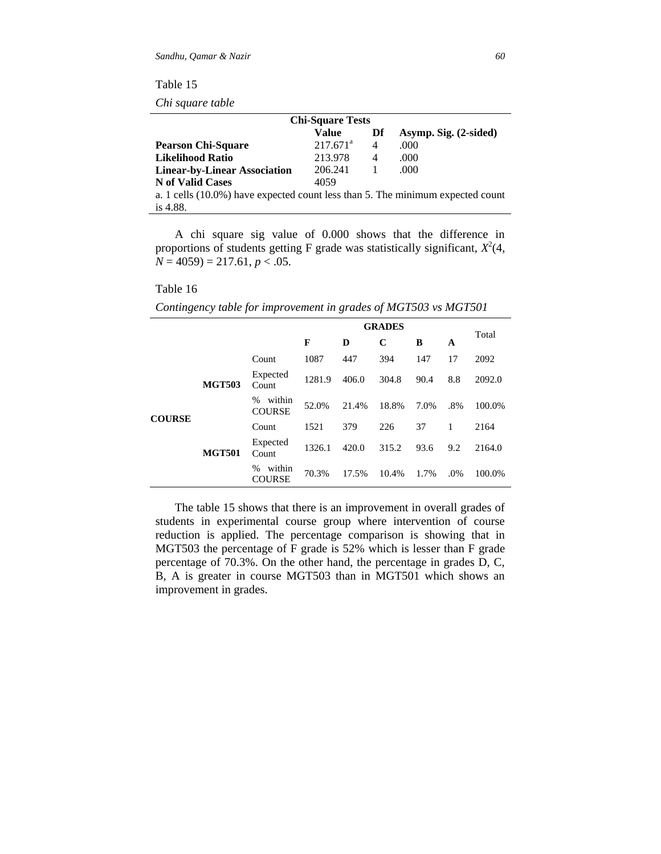*Chi square table*

| <b>Chi-Square Tests</b>                                                           |             |    |                       |  |  |  |  |
|-----------------------------------------------------------------------------------|-------------|----|-----------------------|--|--|--|--|
|                                                                                   | Value       | Df | Asymp. Sig. (2-sided) |  |  |  |  |
| <b>Pearson Chi-Square</b>                                                         | $217.671^a$ | 4  | .000                  |  |  |  |  |
| <b>Likelihood Ratio</b>                                                           | 213.978     | 4  | .000                  |  |  |  |  |
| <b>Linear-by-Linear Association</b>                                               | 206.241     |    | .000                  |  |  |  |  |
| N of Valid Cases                                                                  | 4059        |    |                       |  |  |  |  |
| a. 1 cells $(10.0\%)$ have expected count less than 5. The minimum expected count |             |    |                       |  |  |  |  |
| is $4.88$ .                                                                       |             |    |                       |  |  |  |  |

A chi square sig value of 0.000 shows that the difference in proportions of students getting F grade was statistically significant,  $X^2(4)$ , *N* = 4059) = 217.61, *p* < .05.

#### Table 16

|               |               |                                 | <b>GRADES</b> |       |       |      |        |        |
|---------------|---------------|---------------------------------|---------------|-------|-------|------|--------|--------|
|               |               |                                 | F             | D     | C     | B    | A      | Total  |
|               |               | Count                           | 1087          | 447   | 394   | 147  | 17     | 2092   |
| <b>COURSE</b> | <b>MGT503</b> | Expected<br>Count               | 1281.9        | 406.0 | 304.8 | 90.4 | 8.8    | 2092.0 |
|               |               | within<br>$\%$<br><b>COURSE</b> | 52.0%         | 21.4% | 18.8% | 7.0% | $.8\%$ | 100.0% |
|               | <b>MGT501</b> | Count                           | 1521          | 379   | 226   | 37   | 1      | 2164   |
|               |               | Expected<br>Count               | 1326.1        | 420.0 | 315.2 | 93.6 | 9.2    | 2164.0 |
|               |               | within<br>$\%$<br>COURSE        | 70.3%         | 17.5% | 10.4% | 1.7% | .0%    | 100.0% |

*Contingency table for improvement in grades of MGT503 vs MGT501*

The table 15 shows that there is an improvement in overall grades of students in experimental course group where intervention of course reduction is applied. The percentage comparison is showing that in MGT503 the percentage of F grade is 52% which is lesser than F grade percentage of 70.3%. On the other hand, the percentage in grades D, C, B, A is greater in course MGT503 than in MGT501 which shows an improvement in grades.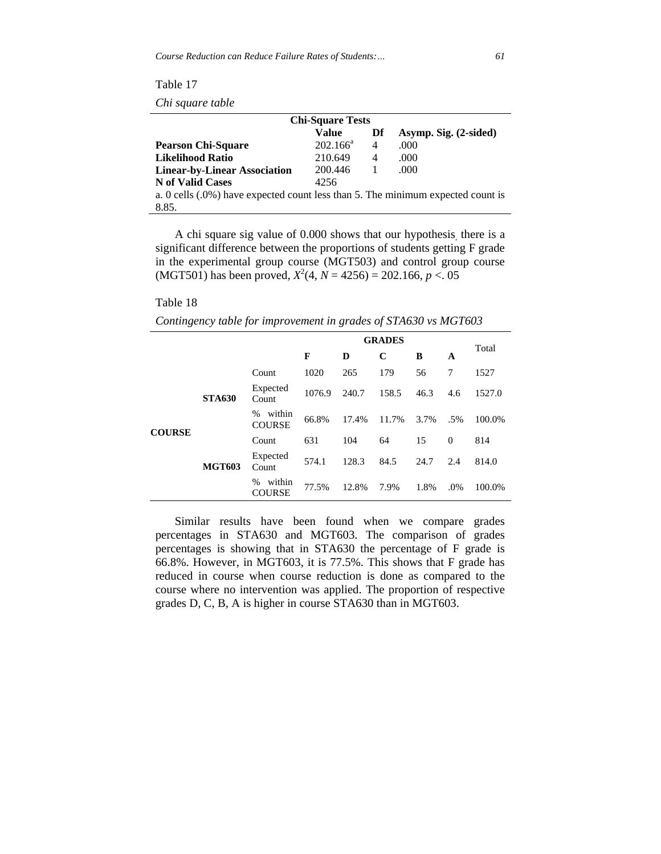| <b>Che square advice</b>                                                        |             |                |                       |  |  |  |
|---------------------------------------------------------------------------------|-------------|----------------|-----------------------|--|--|--|
| <b>Chi-Square Tests</b>                                                         |             |                |                       |  |  |  |
|                                                                                 | Value       | Df             | Asymp. Sig. (2-sided) |  |  |  |
| <b>Pearson Chi-Square</b>                                                       | $202.166^a$ | $\overline{4}$ | .000                  |  |  |  |
| <b>Likelihood Ratio</b>                                                         | 210.649     | 4              | .000                  |  |  |  |
| <b>Linear-by-Linear Association</b>                                             | 200.446     |                | .000                  |  |  |  |
| N of Valid Cases                                                                | 4256        |                |                       |  |  |  |
| a. 0 cells (.0%) have expected count less than 5. The minimum expected count is |             |                |                       |  |  |  |
| 8.85.                                                                           |             |                |                       |  |  |  |

Table 17 *Chi square table*

A chi square sig value of 0.000 shows that our hypothesis, there is a significant difference between the proportions of students getting F grade in the experimental group course (MGT503) and control group course (MGT501) has been proved,  $X^2(4, N = 4256) = 202.166, p < .05$ 

## Table 18

*Contingency table for improvement in grades of STA630 vs MGT603*

|               |               |                                 | <b>GRADES</b> |       |       |      | Total    |        |  |
|---------------|---------------|---------------------------------|---------------|-------|-------|------|----------|--------|--|
|               |               |                                 | F             | D     | C     | B    | A        |        |  |
| <b>COURSE</b> | <b>STA630</b> | Count                           | 1020          | 265   | 179   | 56   | 7        | 1527   |  |
|               |               | Expected<br>Count               | 1076.9        | 240.7 | 158.5 | 46.3 | 4.6      | 1527.0 |  |
|               |               | within<br>$\%$<br><b>COURSE</b> | 66.8%         | 17.4% | 11.7% | 3.7% | .5%      | 100.0% |  |
|               | <b>MGT603</b> | Count                           | 631           | 104   | 64    | 15   | $\Omega$ | 814    |  |
|               |               | Expected<br>Count               | 574.1         | 128.3 | 84.5  | 24.7 | 2.4      | 814.0  |  |
|               |               | within<br>$\%$<br>COURSE        | 77.5%         | 12.8% | 7.9%  | 1.8% | .0%      | 100.0% |  |

Similar results have been found when we compare grades percentages in STA630 and MGT603. The comparison of grades percentages is showing that in STA630 the percentage of F grade is 66.8%. However, in MGT603, it is 77.5%. This shows that F grade has reduced in course when course reduction is done as compared to the course where no intervention was applied. The proportion of respective grades D, C, B, A is higher in course STA630 than in MGT603.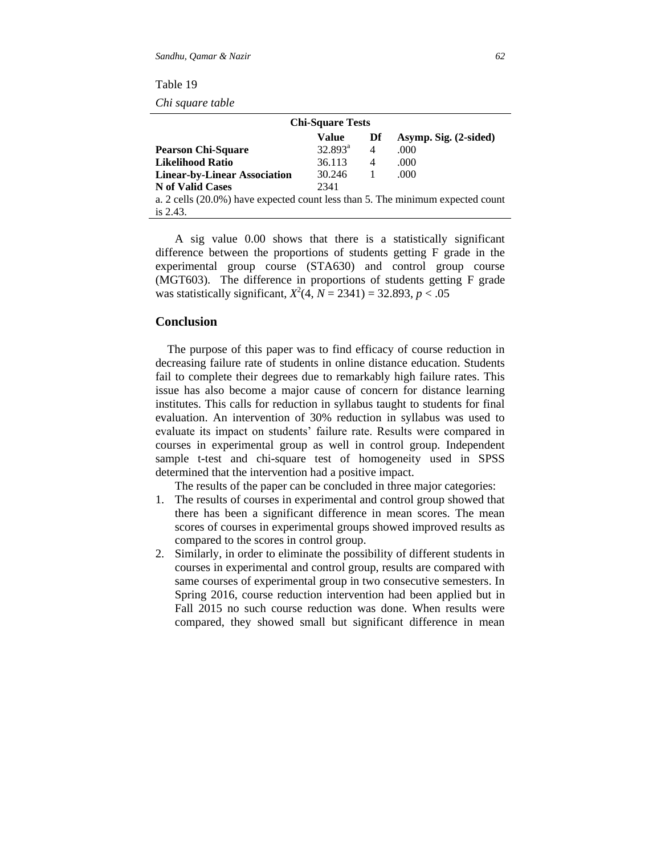| Table |  |
|-------|--|
|-------|--|

*Chi square table*

| <b>Chi-Square Tests</b>                                                        |                  |    |                       |  |  |
|--------------------------------------------------------------------------------|------------------|----|-----------------------|--|--|
|                                                                                | Value            | Df | Asymp. Sig. (2-sided) |  |  |
| <b>Pearson Chi-Square</b>                                                      | $32.893^{\rm a}$ | 4  | .000                  |  |  |
| <b>Likelihood Ratio</b>                                                        | 36.113           | 4  | .000                  |  |  |
| <b>Linear-by-Linear Association</b>                                            | 30.246           | -1 | .000                  |  |  |
| N of Valid Cases                                                               | 2341             |    |                       |  |  |
| a. 2 cells (20.0%) have expected count less than 5. The minimum expected count |                  |    |                       |  |  |
| is $2.43$ .                                                                    |                  |    |                       |  |  |

A sig value 0.00 shows that there is a statistically significant difference between the proportions of students getting F grade in the experimental group course (STA630) and control group course (MGT603). The difference in proportions of students getting F grade was statistically significant,  $X^2(4, N = 2341) = 32.893, p < .05$ 

#### **Conclusion**

 The purpose of this paper was to find efficacy of course reduction in decreasing failure rate of students in online distance education. Students fail to complete their degrees due to remarkably high failure rates. This issue has also become a major cause of concern for distance learning institutes. This calls for reduction in syllabus taught to students for final evaluation. An intervention of 30% reduction in syllabus was used to evaluate its impact on students' failure rate. Results were compared in courses in experimental group as well in control group. Independent sample t-test and chi-square test of homogeneity used in SPSS determined that the intervention had a positive impact.

The results of the paper can be concluded in three major categories:

- 1. The results of courses in experimental and control group showed that there has been a significant difference in mean scores. The mean scores of courses in experimental groups showed improved results as compared to the scores in control group.
- 2. Similarly, in order to eliminate the possibility of different students in courses in experimental and control group, results are compared with same courses of experimental group in two consecutive semesters. In Spring 2016, course reduction intervention had been applied but in Fall 2015 no such course reduction was done. When results were compared, they showed small but significant difference in mean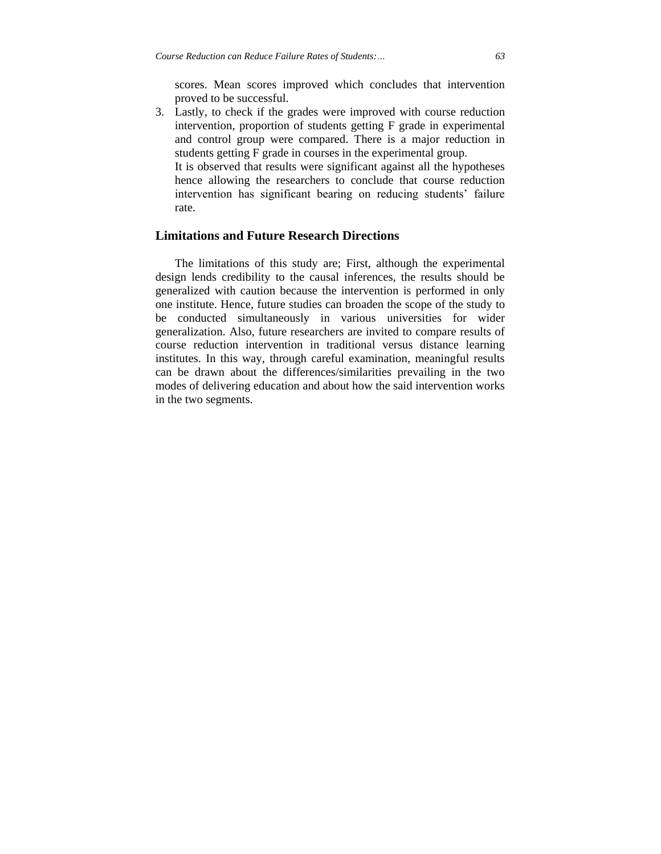scores. Mean scores improved which concludes that intervention proved to be successful.

3. Lastly, to check if the grades were improved with course reduction intervention, proportion of students getting F grade in experimental and control group were compared. There is a major reduction in students getting F grade in courses in the experimental group. It is observed that results were significant against all the hypotheses

hence allowing the researchers to conclude that course reduction intervention has significant bearing on reducing students' failure rate.

## **Limitations and Future Research Directions**

The limitations of this study are; First, although the experimental design lends credibility to the causal inferences, the results should be generalized with caution because the intervention is performed in only one institute. Hence, future studies can broaden the scope of the study to be conducted simultaneously in various universities for wider generalization. Also, future researchers are invited to compare results of course reduction intervention in traditional versus distance learning institutes. In this way, through careful examination, meaningful results can be drawn about the differences/similarities prevailing in the two modes of delivering education and about how the said intervention works in the two segments.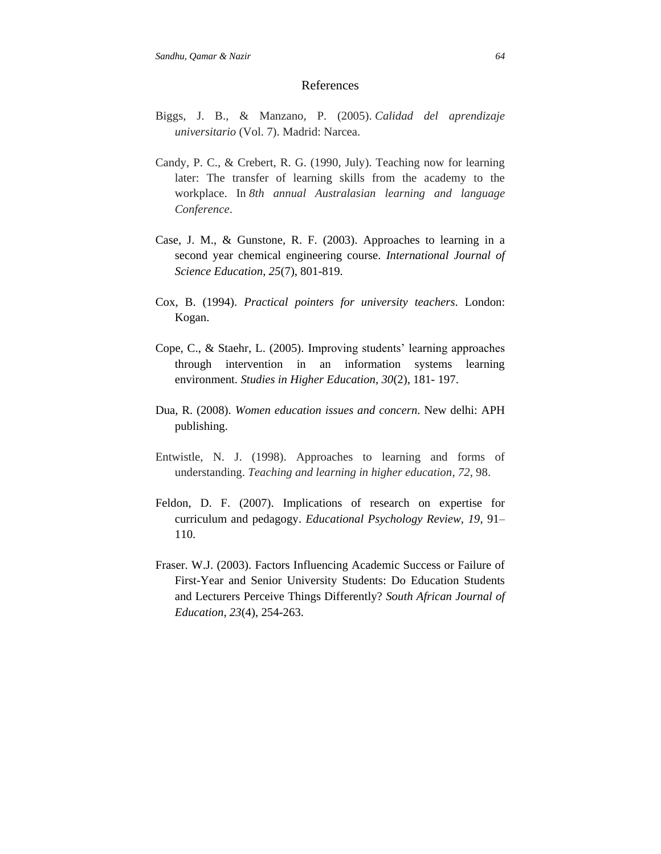#### References

- Biggs, J. B., & Manzano, P. (2005). *Calidad del aprendizaje universitario* (Vol. 7). Madrid: Narcea.
- Candy, P. C., & Crebert, R. G. (1990, July). Teaching now for learning later: The transfer of learning skills from the academy to the workplace. In *8th annual Australasian learning and language Conference*.
- Case, J. M., & Gunstone, R. F. (2003). Approaches to learning in a second year chemical engineering course. *International Journal of Science Education, 25*(7), 801-819.
- Cox, B. (1994). *Practical pointers for university teachers*. London: Kogan.
- Cope, C., & Staehr, L. (2005). Improving students' learning approaches through intervention in an information systems learning environment. *Studies in Higher Education, 30*(2), 181- 197.
- Dua, R. (2008). *Women education issues and concern*. New delhi: APH publishing.
- Entwistle, N. J. (1998). Approaches to learning and forms of understanding. *Teaching and learning in higher education*, *72*, 98.
- Feldon, D. F. (2007). Implications of research on expertise for curriculum and pedagogy. *Educational Psychology Review, 19*, 91– 110.
- Fraser. W.J. (2003). Factors Influencing Academic Success or Failure of First-Year and Senior University Students: Do Education Students and Lecturers Perceive Things Differently? *South African Journal of Education*, *23*(4), 254-263.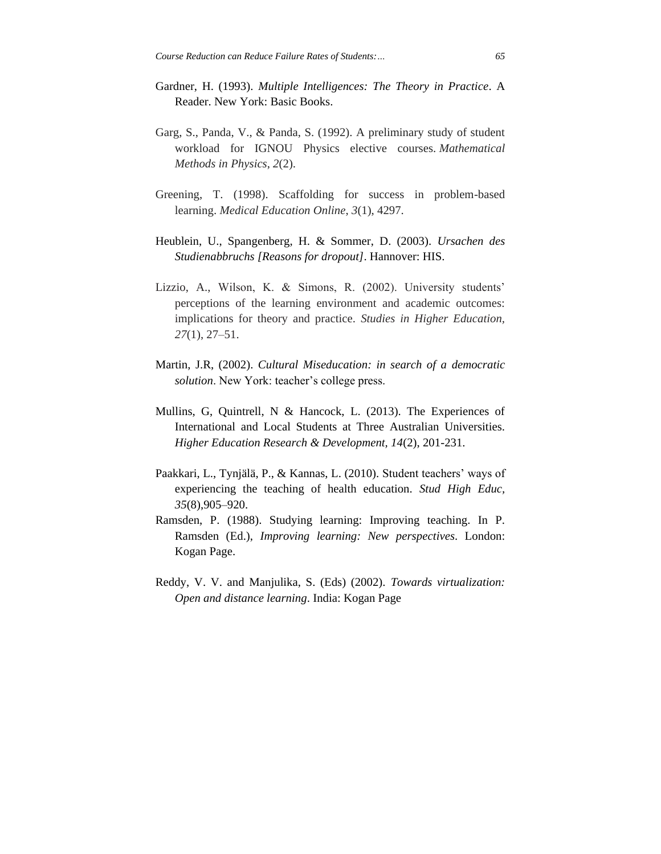- Gardner, H. (1993). *Multiple Intelligences: The Theory in Practice*. A Reader. New York: Basic Books.
- Garg, S., Panda, V., & Panda, S. (1992). A preliminary study of student workload for IGNOU Physics elective courses. *Mathematical Methods in Physics*, *2*(2).
- Greening, T. (1998). Scaffolding for success in problem-based learning. *Medical Education Online*, *3*(1), 4297.
- Heublein, U., Spangenberg, H. & Sommer, D. (2003). *Ursachen des Studienabbruchs [Reasons for dropout]*. Hannover: HIS.
- Lizzio, A., Wilson, K. & Simons, R. (2002). University students' perceptions of the learning environment and academic outcomes: implications for theory and practice. *Studies in Higher Education, 27*(1), 27–51.
- Martin, J.R, (2002). *Cultural Miseducation: in search of a democratic solution*. New York: teacher's college press.
- Mullins, G, Quintrell, N & Hancock, L. (2013). The Experiences of International and Local Students at Three Australian Universities. *Higher Education Research & Development, 14*(2), 201-231.
- Paakkari, L., Tynjälä, P., & Kannas, L. (2010). Student teachers' ways of experiencing the teaching of health education. *Stud High Educ, 35*(8),905–920.
- Ramsden, P. (1988). Studying learning: Improving teaching. In P. Ramsden (Ed.), *Improving learning: New perspectives*. London: Kogan Page.
- Reddy, V. V. and Manjulika, S. (Eds) (2002). *Towards virtualization: Open and distance learning*. India: Kogan Page